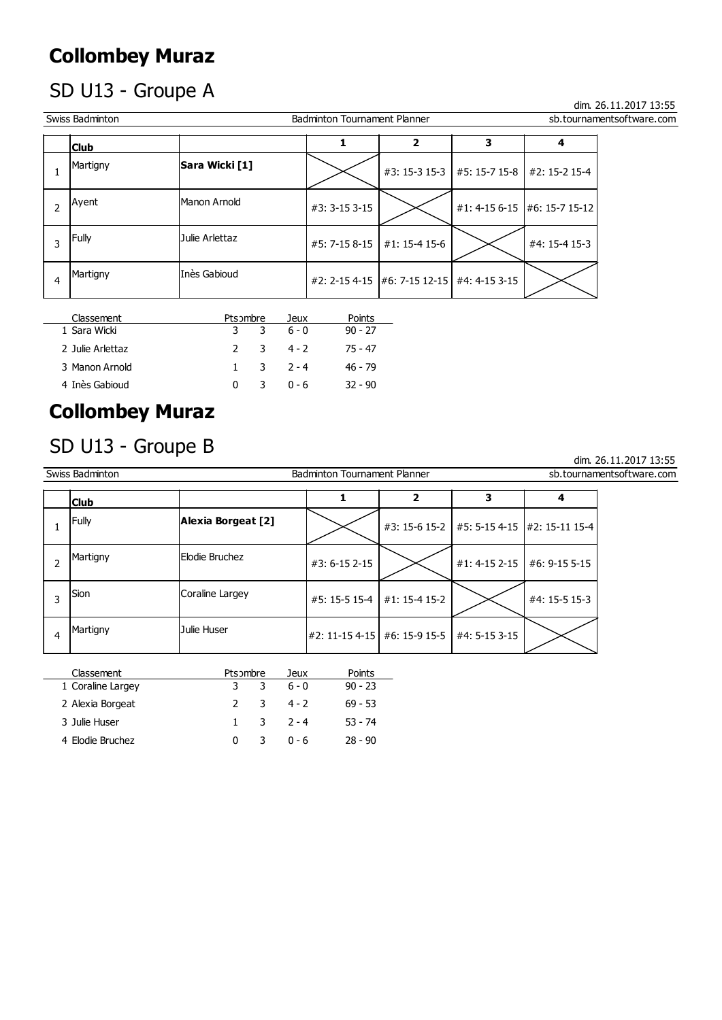## Collombey Muraz

## SD U13 - Groupe A

|                | <b>Collombey Muraz</b>     |                |   |                 |                                     |                                     |                         |                              |                           |
|----------------|----------------------------|----------------|---|-----------------|-------------------------------------|-------------------------------------|-------------------------|------------------------------|---------------------------|
|                | SD U13 - Groupe A          |                |   |                 |                                     |                                     |                         |                              | dim. 26.11.2017 13:55     |
|                | Swiss Badminton            |                |   |                 | <b>Badminton Tournament Planner</b> |                                     |                         |                              | sb.tournamentsoftware.com |
|                | <b>Club</b>                |                |   |                 | 1                                   | $\overline{\mathbf{2}}$             | $\overline{\mathbf{3}}$ | 4                            |                           |
| $\mathbf{1}$   | Martigny                   | Sara Wicki [1] |   |                 |                                     | #3: 15-3 15-3                       | #5: 15-7 15-8           | #2: 15-2 15-4                |                           |
| $\overline{2}$ | Ayent                      | Manon Arnold   |   |                 | #3: 3-15 3-15                       |                                     |                         | #1: 4-15 6-15 #6: 15-7 15-12 |                           |
| 3              | Fully                      | Julie Arlettaz |   |                 | #5: 7-15 8-15                       | #1: 15-4 15-6                       |                         | #4: 15-4 15-3                |                           |
| $\overline{4}$ | Martigny                   | Inès Gabioud   |   |                 | #2: 2-15 4-15                       | $\mid$ #6: 7-15 12-15 #4: 4-15 3-15 |                         |                              |                           |
|                | Classement<br>1 Sara Wicki | Pts ombre<br>3 | 3 | Jeux<br>$6 - 0$ | Points<br>$90 - 27$                 |                                     |                         |                              |                           |
|                | 2 Julie Arlettaz           | $\overline{2}$ | 3 | $4 - 2$         | $75 - 47$                           |                                     |                         |                              |                           |
|                | 3 Manon Arnold             | $\mathbf{1}$   | 3 | $2 - 4$         | $46 - 79$                           |                                     |                         |                              |                           |
|                | 4 Inès Gabioud             | $\mathbf{0}$   | 3 | $0 - 6$         | $32 - 90$                           |                                     |                         |                              |                           |
|                | <b>Collombey Muraz</b>     |                |   |                 |                                     |                                     |                         |                              |                           |
|                | SD U13 - Groupe B          |                |   |                 |                                     |                                     |                         |                              |                           |

| Classement       | Pts ombre |   | Jeux                    | Points    |
|------------------|-----------|---|-------------------------|-----------|
| 1 Sara Wicki     | 3         |   | $36-0$                  | $90 - 27$ |
| 2 Julie Arlettaz |           |   | $2 \t3 \t4 - 2$         | 75 - 47   |
| 3 Manon Arnold   |           |   | $1 \quad 3 \quad 2 - 4$ | 46 - 79   |
| 4 Inès Gabioud   | 0         | 3 | በ - 6                   | $32 - 90$ |

## Collombey Muraz

#### SD U13 - Groupe B

|                | 3 Manon Arnold         |                    | $\mathbf{1}$   | 3         | $2 - 4$ | $46 - 79$                           |                         |               |                              |
|----------------|------------------------|--------------------|----------------|-----------|---------|-------------------------------------|-------------------------|---------------|------------------------------|
|                | 4 Inès Gabioud         |                    | $\mathbf 0$    | 3         | $0 - 6$ | $32 - 90$                           |                         |               |                              |
|                | <b>Collombey Muraz</b> |                    |                |           |         |                                     |                         |               |                              |
|                | SD U13 - Groupe B      |                    |                |           |         |                                     |                         |               | dim. 26.11.2017 13:55        |
|                | Swiss Badminton        |                    |                |           |         | <b>Badminton Tournament Planner</b> |                         |               | sb.tournamentsoftware.com    |
|                | <b>Club</b>            |                    |                |           |         | 1                                   | $\overline{\mathbf{2}}$ | 3             | 4                            |
| $\mathbf{1}$   | Fully                  | Alexia Borgeat [2] |                |           |         |                                     | #3: 15-6 15-2           |               | #5: 5-15 4-15 #2: 15-11 15-4 |
| $\overline{2}$ | Martigny               | Elodie Bruchez     |                |           |         | #3: 6-15 2-15                       |                         | #1: 4-15 2-15 | #6: 9-15 5-15                |
| 3              | Sion                   | Coraline Largey    |                |           |         | $#5: 15-515-4$                      | #1: 15-4 15-2           |               | #4: 15-5 15-3                |
| $\overline{4}$ | Martigny               | Julie Huser        |                |           |         | #2: 11-15 4-15 #6: 15-9 15-5        |                         | #4: 5-15 3-15 |                              |
|                | Classement             |                    |                | Pts ombre | Jeux    | Points                              |                         |               |                              |
|                | 1 Coraline Largey      |                    | 3              | 3         | $6 - 0$ | $90 - 23$                           |                         |               |                              |
|                | 2 Alexia Borgeat       |                    | $\overline{2}$ | 3         | $4 - 2$ | $69 - 53$                           |                         |               |                              |
|                | 3 Julie Huser          |                    | $\mathbf{1}$   | 3         | $2 - 4$ | $53 - 74$                           |                         |               |                              |
|                | 4 Elodie Bruchez       |                    | $\mathbf 0$    | 3         | $0 - 6$ | $28 - 90$                           |                         |               |                              |

| Classement        | Pts ombre |   | Jeux                    | Points    |
|-------------------|-----------|---|-------------------------|-----------|
| 1 Coraline Largey | 3.        | 3 | 6 - 0                   | $90 - 23$ |
| 2 Alexia Borgeat  |           |   | $2 \t3 \t4 - 2$         | $69 - 53$ |
| 3 Julie Huser     |           |   | $1 \quad 3 \quad 2 - 4$ | $53 - 74$ |
| 4 Elodie Bruchez  | 0         | 3 | ი - 6                   | $28 - 90$ |